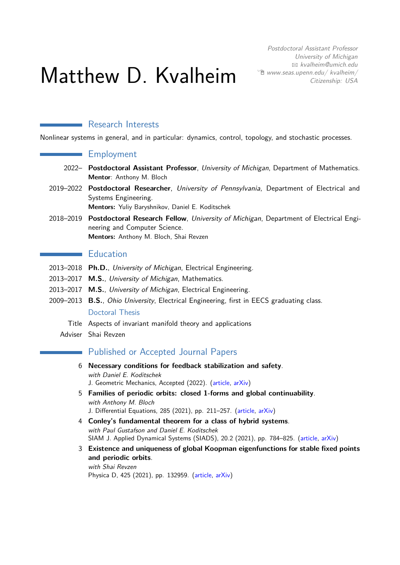# Matthew D. Kvalheim

Postdoctoral Assistant Professor University of Michigan B [kvalheim@umich.edu](mailto:kvalheim@umich.edu)  $\Theta$  [www.seas.upenn.edu/ kvalheim/](http://www.seas.upenn.edu/~kvalheim/) Citizenship: USA

## **Research Interests**

Nonlinear systems in general, and in particular: dynamics, control, topology, and stochastic processes.

## Employment

- 2022– **Postdoctoral Assistant Professor**, University of Michigan, Department of Mathematics. **Mentor**: Anthony M. Bloch
- 2019–2022 **Postdoctoral Researcher**, University of Pennsylvania, Department of Electrical and Systems Engineering.
	- **Mentors:** Yuliy Baryshnikov, Daniel E. Koditschek
- 2018–2019 **Postdoctoral Research Fellow**, University of Michigan, Department of Electrical Engineering and Computer Science. **Mentors:** Anthony M. Bloch, Shai Revzen

## **Education**

- 2013–2018 **Ph.D.**, University of Michigan, Electrical Engineering.
- 2013–2017 **M.S.**, University of Michigan, Mathematics.
- 2013–2017 **M.S.**, University of Michigan, Electrical Engineering.
- 2009–2013 **B.S.**, Ohio University, Electrical Engineering, first in EECS graduating class.

#### Doctoral Thesis

- Title Aspects of invariant manifold theory and applications
- Adviser Shai Revzen

## **Published or Accepted Journal Papers**

- 6 **Necessary conditions for feedback stabilization and safety**. with Daniel E. Koditschek J. Geometric Mechanics, Accepted (2022). [\(article,](https://www.aimsciences.org/article/doi/10.3934/jgm.2022013) [arXiv\)](https://arxiv.org/abs/2106.00215)
- 5 **Families of periodic orbits: closed 1-forms and global continuability**. with Anthony M. Bloch J. Differential Equations, 285 (2021), pp. 211–257. [\(article,](https://doi.org/10.1016/j.jde.2021.03.009) [arXiv\)](https://arxiv.org/abs/1906.03528)
- 4 **Conley's fundamental theorem for a class of hybrid systems**. with Paul Gustafson and Daniel E. Koditschek SIAM J. Applied Dynamical Systems (SIADS), 20.2 (2021), pp. 784–825. [\(article,](https://epubs.siam.org/doi/abs/10.1137/20M1336576) [arXiv\)](https://arxiv.org/abs/2005.03217)
- 3 **Existence and uniqueness of global Koopman eigenfunctions for stable fixed points and periodic orbits**. with Shai Revzen

Physica D, 425 (2021), pp. 132959. [\(article,](https://www.sciencedirect.com/science/article/pii/S0167278921001160) [arXiv\)](https://arxiv.org/abs/1911.11996)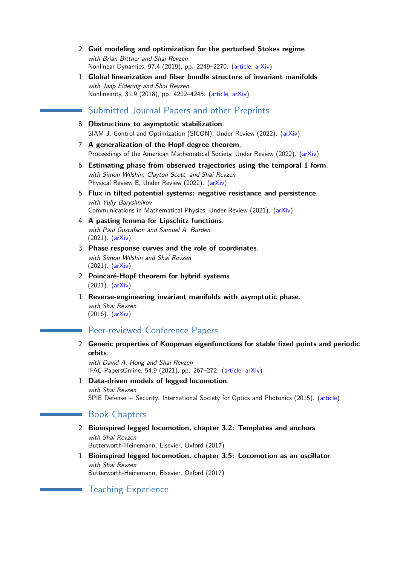- 2 **Gait modeling and optimization for the perturbed Stokes regime**. with Brian Bittner and Shai Revzen Nonlinear Dynamics, 97.4 (2019), pp. 2249–2270. [\(article,](https://link.springer.com/article/10.1007/s11071-019-05121-3) [arXiv\)](https://arxiv.org/abs/1906.04384)
- 1 **Global linearization and fiber bundle structure of invariant manifolds**. with Jaap Eldering and Shai Revzen Nonlinearity, 31.9 (2018), pp. 4202–4245. [\(article,](http://iopscience.iop.org/article/10.1088/1361-6544/aaca8d) [arXiv\)](https://arxiv.org/abs/1711.03646)

## Submitted Journal Papers and other Preprints

- 8 **Obstructions to asymptotic stabilization**. SIAM J. Control and Optimization (SICON), Under Review (2022). [\(arXiv\)](https://arxiv.org/abs/2205.07840)
- 7 **A generalization of the Hopf degree theorem**. Proceedings of the American Mathematical Society, Under Review (2022). [\(arXiv\)](https://arxiv.org/abs/2203.10371)
- 6 **Estimating phase from observed trajectories using the temporal 1-form**. with Simon Wilshin, Clayton Scott, and Shai Revzen Physical Review E, Under Review (2022). [\(arXiv\)](https://arxiv.org/abs/2203.04498)
- 5 **Flux in tilted potential systems: negative resistance and persistence**. with Yuliy Baryshnikov Communications in Mathematical Physics, Under Review (2021). [\(arXiv\)](https://arxiv.org/abs/2108.06431)
- 4 **A pasting lemma for Lipschitz functions**. with Paul Gustafson and Samuel A. Burden (2021). [\(arXiv\)](https://arxiv.org/abs/2109.08209)
- 3 **Phase response curves and the role of coordinates**. with Simon Wilshin and Shai Revzen (2021). [\(arXiv\)](https://arxiv.org/abs/2111.06511)
- 2 **Poincaré-Hopf theorem for hybrid systems**.  $(2021)$ .  $(arXiv)$
- 1 **Reverse-engineering invariant manifolds with asymptotic phase**. with Shai Revzen  $(2016)$ .  $(arXiv)$

# Peer-reviewed Conference Papers

2 **Generic properties of Koopman eigenfunctions for stable fixed points and periodic orbits**.

with David A. Hong and Shai Revzen IFAC-PapersOnline, 54.9 (2021), pp. 267–272. [\(article,](https://www.sciencedirect.com/science/article/pii/S2405896321006443) [arXiv\)](https://arxiv.org/abs/2010.04008)

1 **Data-driven models of legged locomotion**. with Shai Revzen SPIE Defense + Security. International Society for Optics and Photonics (2015). [\(article\)](https://www.spiedigitallibrary.org/conference-proceedings-of-spie/9467/94671V/Data-driven-models-of-legged-locomotion/10.1117/12.2178007.short)

## **Book Chapters**

- 2 **Bioinspired legged locomotion, chapter 3.2: Templates and anchors**. with Shai Revzen Butterworth-Heinemann, Elsevier, Oxford (2017)
- 1 **Bioinspired legged locomotion, chapter 3.5: Locomotion as an oscillator**. with Shai Revzen Butterworth-Heinemann, Elsevier, Oxford (2017)

# Teaching Experience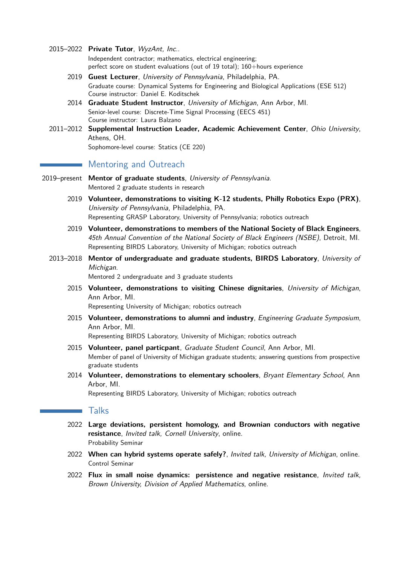2015–2022 **Private Tutor**, WyzAnt, Inc..

Independent contractor; mathematics, electrical engineering; perfect score on student evaluations (out of 19 total); 160+hours experience

- 2019 **Guest Lecturer**, University of Pennsylvania, Philadelphia, PA. Graduate course: Dynamical Systems for Engineering and Biological Applications (ESE 512) Course instructor: Daniel E. Koditschek
- 2014 **Graduate Student Instructor**, University of Michigan, Ann Arbor, MI. Senior-level course: Discrete-Time Signal Processing (EECS 451) Course instructor: Laura Balzano
- 2011–2012 **Supplemental Instruction Leader, Academic Achievement Center**, Ohio University, Athens, OH. Sophomore-level course: Statics (CE 220)

# **Mentoring and Outreach**

- 2019–present **Mentor of graduate students**, University of Pennsylvania. Mentored 2 graduate students in research
	- 2019 **Volunteer, demonstrations to visiting K-12 students, Philly Robotics Expo (PRX)**, University of Pennsylvania, Philadelphia, PA. Representing GRASP Laboratory, University of Pennsylvania; robotics outreach
	- 2019 **Volunteer, demonstrations to members of the National Society of Black Engineers**, 45th Annual Convention of the National Society of Black Engineers (NSBE), Detroit, MI. Representing BIRDS Laboratory, University of Michigan; robotics outreach
	- 2013–2018 **Mentor of undergraduate and graduate students, BIRDS Laboratory**, University of Michigan.

Mentored 2 undergraduate and 3 graduate students

2015 **Volunteer, demonstrations to visiting Chinese dignitaries**, University of Michigan, Ann Arbor, MI.

Representing University of Michigan; robotics outreach

2015 **Volunteer, demonstrations to alumni and industry**, Engineering Graduate Symposium, Ann Arbor, MI.

Representing BIRDS Laboratory, University of Michigan; robotics outreach

- 2015 **Volunteer, panel particpant**, Graduate Student Council, Ann Arbor, MI. Member of panel of University of Michigan graduate students; answering questions from prospective graduate students
- 2014 **Volunteer, demonstrations to elementary schoolers**, Bryant Elementary School, Ann Arbor, MI.

Representing BIRDS Laboratory, University of Michigan; robotics outreach

## **Talks**

- 2022 **Large deviations, persistent homology, and Brownian conductors with negative resistance**, Invited talk, Cornell University, online. Probability Seminar
- 2022 **When can hybrid systems operate safely?**, Invited talk, University of Michigan, online. Control Seminar
- 2022 **Flux in small noise dynamics: persistence and negative resistance**, Invited talk, Brown University, Division of Applied Mathematics, online.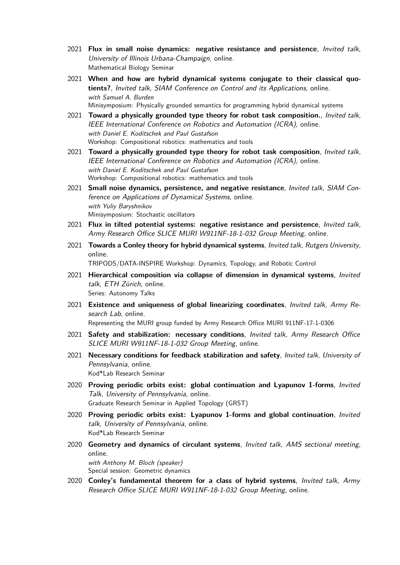- 2021 **Flux in small noise dynamics: negative resistance and persistence**, Invited talk, University of Illinois Urbana-Champaign, online. Mathematical Biology Seminar
- 2021 **When and how are hybrid dynamical systems conjugate to their classical quotients?**, Invited talk, SIAM Conference on Control and its Applications, online. with Samuel A. Burden Minisymposium: Physically grounded semantics for programming hybrid dynamical systems
- 2021 **Toward a physically grounded type theory for robot task composition.**, Invited talk, IEEE International Conference on Robotics and Automation (ICRA), online. with Daniel E. Koditschek and Paul Gustafson Workshop: Compositional robotics: mathematics and tools
- 2021 **Toward a physically grounded type theory for robot task composition**, Invited talk, IEEE International Conference on Robotics and Automation (ICRA), online. with Daniel E. Koditschek and Paul Gustafson Workshop: Compositional robotics: mathematics and tools
- 2021 **Small noise dynamics, persistence, and negative resistance**, Invited talk, SIAM Conference on Applications of Dynamical Systems, online. with Yuliy Baryshnikov Minisymposium: Stochastic oscillators
- 2021 **Flux in tilted potential systems: negative resistance and persistence**, Invited talk, Army Research Office SLICE MURI W911NF-18-1-032 Group Meeting, online.
- 2021 **Towards a Conley theory for hybrid dynamical systems**, Invited talk, Rutgers University, online.

TRIPODS/DATA-INSPIRE Workshop: Dynamics, Topology, and Robotic Control

- 2021 **Hierarchical composition via collapse of dimension in dynamical systems**, Invited talk, ETH Zürich, online. Series: Autonomy Talks
- 2021 **Existence and uniqueness of global linearizing coordinates**, Invited talk, Army Research Lab, online.

Representing the MURI group funded by Army Research Office MURI 911NF-17-1-0306

- 2021 **Safety and stabilization: necessary conditions**, Invited talk, Army Research Office SLICE MURI W911NF-18-1-032 Group Meeting, online.
- 2021 **Necessary conditions for feedback stabilization and safety**, Invited talk, University of Pennsylvania, online. Kod\*Lab Research Seminar
- 2020 **Proving periodic orbits exist: global continuation and Lyapunov 1-forms**, Invited Talk, University of Pennsylvania, online. Graduate Research Seminar in Applied Topology (GRST)
- 2020 **Proving periodic orbits exist: Lyapunov 1-forms and global continuation**, Invited talk, University of Pennsylvania, online. Kod\*Lab Research Seminar
- 2020 **Geometry and dynamics of circulant systems**, Invited talk, AMS sectional meeting, online.

with Anthony M. Bloch (speaker) Special session: Geometric dynamics

2020 **Conley's fundamental theorem for a class of hybrid systems**, Invited talk, Army Research Office SLICE MURI W911NF-18-1-032 Group Meeting, online.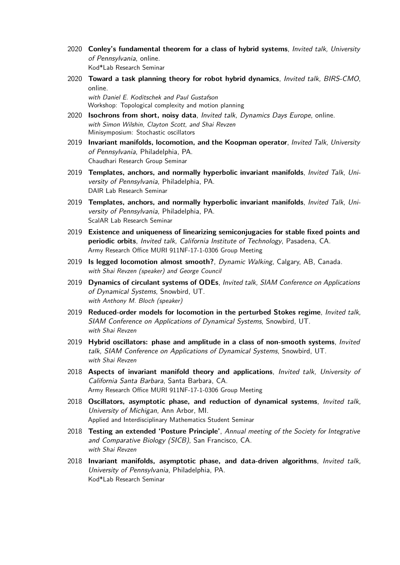- 2020 **Conley's fundamental theorem for a class of hybrid systems**, Invited talk, University of Pennsylvania, online. Kod\*Lab Research Seminar
- 2020 **Toward a task planning theory for robot hybrid dynamics**, Invited talk, BIRS-CMO, online.

with Daniel E. Koditschek and Paul Gustafson Workshop: Topological complexity and motion planning

- 2020 **Isochrons from short, noisy data**, Invited talk, Dynamics Days Europe, online. with Simon Wilshin, Clayton Scott, and Shai Revzen Minisymposium: Stochastic oscillators
- 2019 **Invariant manifolds, locomotion, and the Koopman operator**, Invited Talk, University of Pennsylvania, Philadelphia, PA. Chaudhari Research Group Seminar
- 2019 **Templates, anchors, and normally hyperbolic invariant manifolds**, Invited Talk, University of Pennsylvania, Philadelphia, PA. DAIR Lab Research Seminar
- 2019 **Templates, anchors, and normally hyperbolic invariant manifolds**, Invited Talk, University of Pennsylvania, Philadelphia, PA. ScalAR Lab Research Seminar
- 2019 **Existence and uniqueness of linearizing semiconjugacies for stable fixed points and periodic orbits**, Invited talk, California Institute of Technology, Pasadena, CA. Army Research Office MURI 911NF-17-1-0306 Group Meeting
- 2019 **Is legged locomotion almost smooth?**, Dynamic Walking, Calgary, AB, Canada. with Shai Revzen (speaker) and George Council
- 2019 **Dynamics of circulant systems of ODEs**, Invited talk, SIAM Conference on Applications of Dynamical Systems, Snowbird, UT. with Anthony M. Bloch (speaker)
- 2019 **Reduced-order models for locomotion in the perturbed Stokes regime**, Invited talk, SIAM Conference on Applications of Dynamical Systems, Snowbird, UT. with Shai Revzen
- 2019 **Hybrid oscillators: phase and amplitude in a class of non-smooth systems**, Invited talk, SIAM Conference on Applications of Dynamical Systems, Snowbird, UT. with Shai Revzen
- 2018 **Aspects of invariant manifold theory and applications**, Invited talk, University of California Santa Barbara, Santa Barbara, CA. Army Research Office MURI 911NF-17-1-0306 Group Meeting
- 2018 **Oscillators, asymptotic phase, and reduction of dynamical systems**, Invited talk, University of Michigan, Ann Arbor, MI. Applied and Interdisciplinary Mathematics Student Seminar
- 2018 **Testing an extended 'Posture Principle'**, Annual meeting of the Society for Integrative and Comparative Biology (SICB), San Francisco, CA. with Shai Revzen
- 2018 **Invariant manifolds, asymptotic phase, and data-driven algorithms**, Invited talk, University of Pennsylvania, Philadelphia, PA. Kod\*Lab Research Seminar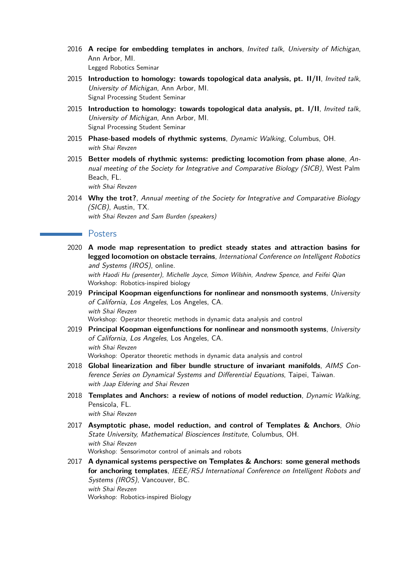- 2016 **A recipe for embedding templates in anchors**, Invited talk, University of Michigan, Ann Arbor, MI. Legged Robotics Seminar
- 2015 **Introduction to homology: towards topological data analysis, pt. II/II**, Invited talk, University of Michigan, Ann Arbor, MI. Signal Processing Student Seminar
- 2015 **Introduction to homology: towards topological data analysis, pt. I/II**, Invited talk, University of Michigan, Ann Arbor, MI. Signal Processing Student Seminar
- 2015 **Phase-based models of rhythmic systems**, Dynamic Walking, Columbus, OH. with Shai Revzen
- 2015 **Better models of rhythmic systems: predicting locomotion from phase alone**, Annual meeting of the Society for Integrative and Comparative Biology (SICB), West Palm Beach, FL. with Shai Revzen
- 2014 **Why the trot?**, Annual meeting of the Society for Integrative and Comparative Biology (SICB), Austin, TX. with Shai Revzen and Sam Burden (speakers)

#### Posters

2020 **A mode map representation to predict steady states and attraction basins for legged locomotion on obstacle terrains**, International Conference on Intelligent Robotics and Systems (IROS), online.

with Haodi Hu (presenter), Michelle Joyce, Simon Wilshin, Andrew Spence, and Feifei Qian Workshop: Robotics-inspired biology

- 2019 **Principal Koopman eigenfunctions for nonlinear and nonsmooth systems**, University of California, Los Angeles, Los Angeles, CA. with Shai Revzen Workshop: Operator theoretic methods in dynamic data analysis and control
- 2019 **Principal Koopman eigenfunctions for nonlinear and nonsmooth systems**, University of California, Los Angeles, Los Angeles, CA. with Shai Revzen Workshop: Operator theoretic methods in dynamic data analysis and control
- 2018 **Global linearization and fiber bundle structure of invariant manifolds**, AIMS Conference Series on Dynamical Systems and Differential Equations, Taipei, Taiwan. with Jaap Eldering and Shai Revzen
- 2018 **Templates and Anchors: a review of notions of model reduction**, Dynamic Walking, Pensicola, FL. with Shai Revzen
- 2017 **Asymptotic phase, model reduction, and control of Templates & Anchors**, Ohio State University, Mathematical Biosciences Institute, Columbus, OH. with Shai Revzen Workshop: Sensorimotor control of animals and robots
- 2017 **A dynamical systems perspective on Templates & Anchors: some general methods for anchoring templates**, IEEE/RSJ International Conference on Intelligent Robots and Systems (IROS), Vancouver, BC. with Shai Revzen Workshop: Robotics-inspired Biology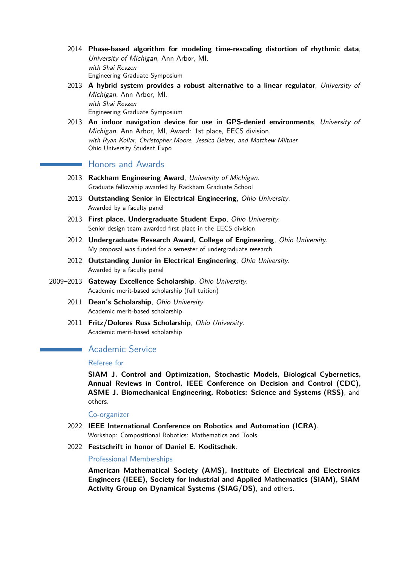- 2014 **Phase-based algorithm for modeling time-rescaling distortion of rhythmic data**, University of Michigan, Ann Arbor, MI. with Shai Revzen Engineering Graduate Symposium
- 2013 **A hybrid system provides a robust alternative to a linear regulator**, University of Michigan, Ann Arbor, MI. with Shai Revzen

Engineering Graduate Symposium

2013 **An indoor navigation device for use in GPS-denied environments**, University of Michigan, Ann Arbor, MI, Award: 1st place, EECS division. with Ryan Kollar, Christopher Moore, Jessica Belzer, and Matthew Miltner Ohio University Student Expo

## **Honors and Awards**

- 2013 **Rackham Engineering Award**, University of Michigan. Graduate fellowship awarded by Rackham Graduate School
- 2013 **Outstanding Senior in Electrical Engineering**, Ohio University. Awarded by a faculty panel
- 2013 **First place, Undergraduate Student Expo**, Ohio University. Senior design team awarded first place in the EECS division
- 2012 **Undergraduate Research Award, College of Engineering**, Ohio University. My proposal was funded for a semester of undergraduate research
- 2012 **Outstanding Junior in Electrical Engineering**, Ohio University. Awarded by a faculty panel
- 2009–2013 **Gateway Excellence Scholarship**, Ohio University. Academic merit-based scholarship (full tuition)
	- 2011 **Dean's Scholarship**, Ohio University. Academic merit-based scholarship
	- 2011 **Fritz/Dolores Russ Scholarship**, Ohio University. Academic merit-based scholarship

# **Academic Service**

#### Referee for

**SIAM J. Control and Optimization, Stochastic Models, Biological Cybernetics, Annual Reviews in Control, IEEE Conference on Decision and Control (CDC), ASME J. Biomechanical Engineering, Robotics: Science and Systems (RSS)**, and others.

#### Co-organizer

- 2022 **IEEE International Conference on Robotics and Automation (ICRA)**. Workshop: Compositional Robotics: Mathematics and Tools
- 2022 **Festschrift in honor of Daniel E. Koditschek**.

#### Professional Memberships

**American Mathematical Society (AMS), Institute of Electrical and Electronics Engineers (IEEE), Society for Industrial and Applied Mathematics (SIAM), SIAM Activity Group on Dynamical Systems (SIAG/DS)**, and others.